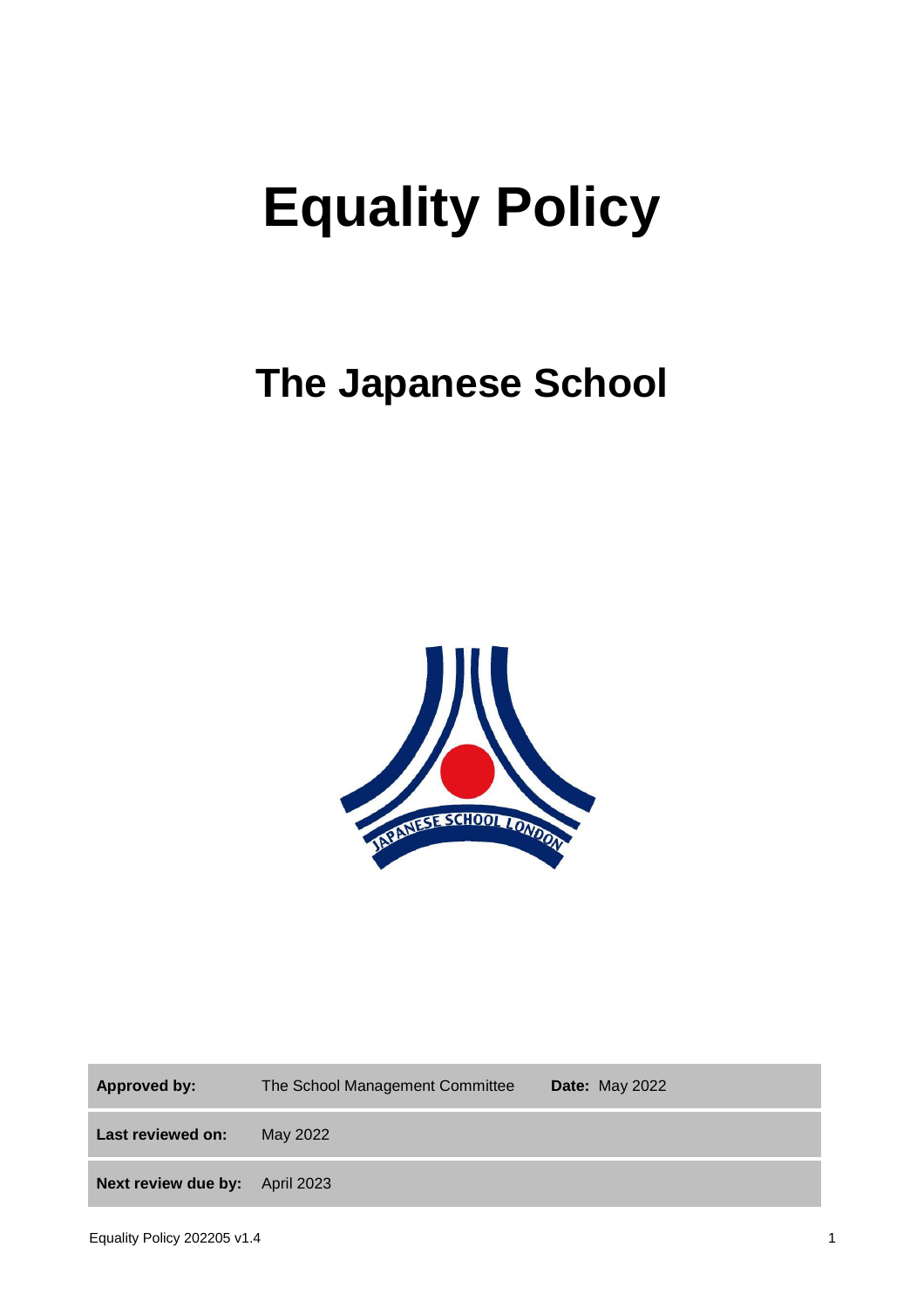# **Equality Policy**

# **The Japanese School**



**Approved by:** The School Management Committee **Date:** May 2022 **Last reviewed on:** May 2022 **Next review due by:** April 2023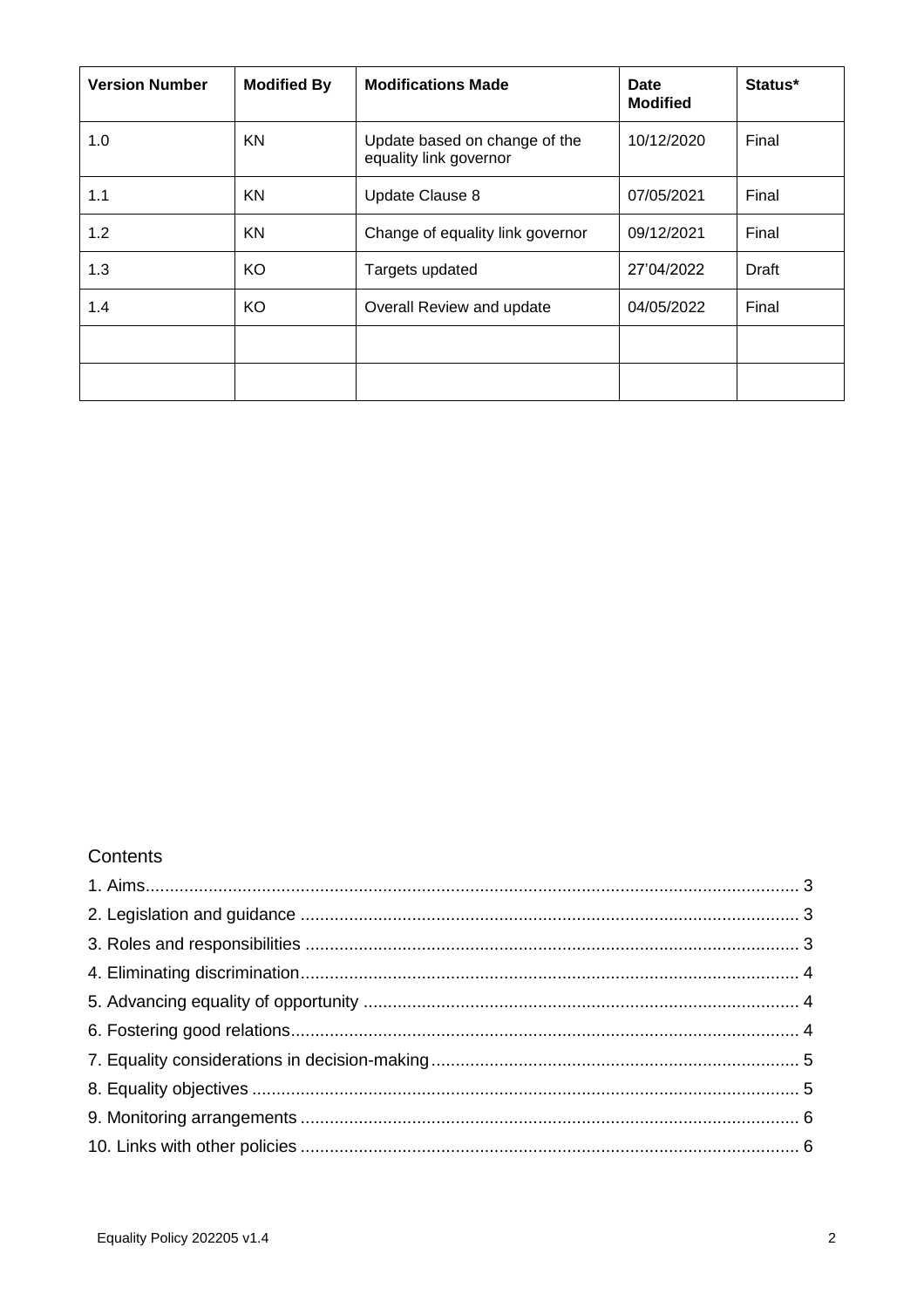| <b>Version Number</b> | <b>Modified By</b> | <b>Modifications Made</b>                               | Date<br><b>Modified</b> | Status* |
|-----------------------|--------------------|---------------------------------------------------------|-------------------------|---------|
| 1.0                   | KN                 | Update based on change of the<br>equality link governor | 10/12/2020              | Final   |
| 1.1                   | KN                 | Update Clause 8                                         | 07/05/2021              | Final   |
| 1.2                   | KN                 | Change of equality link governor                        | 09/12/2021              | Final   |
| 1.3                   | KO                 | Targets updated                                         | 27'04/2022              | Draft   |
| 1.4                   | KO                 | Overall Review and update                               | 04/05/2022              | Final   |
|                       |                    |                                                         |                         |         |
|                       |                    |                                                         |                         |         |

#### **Contents**

<span id="page-1-0"></span>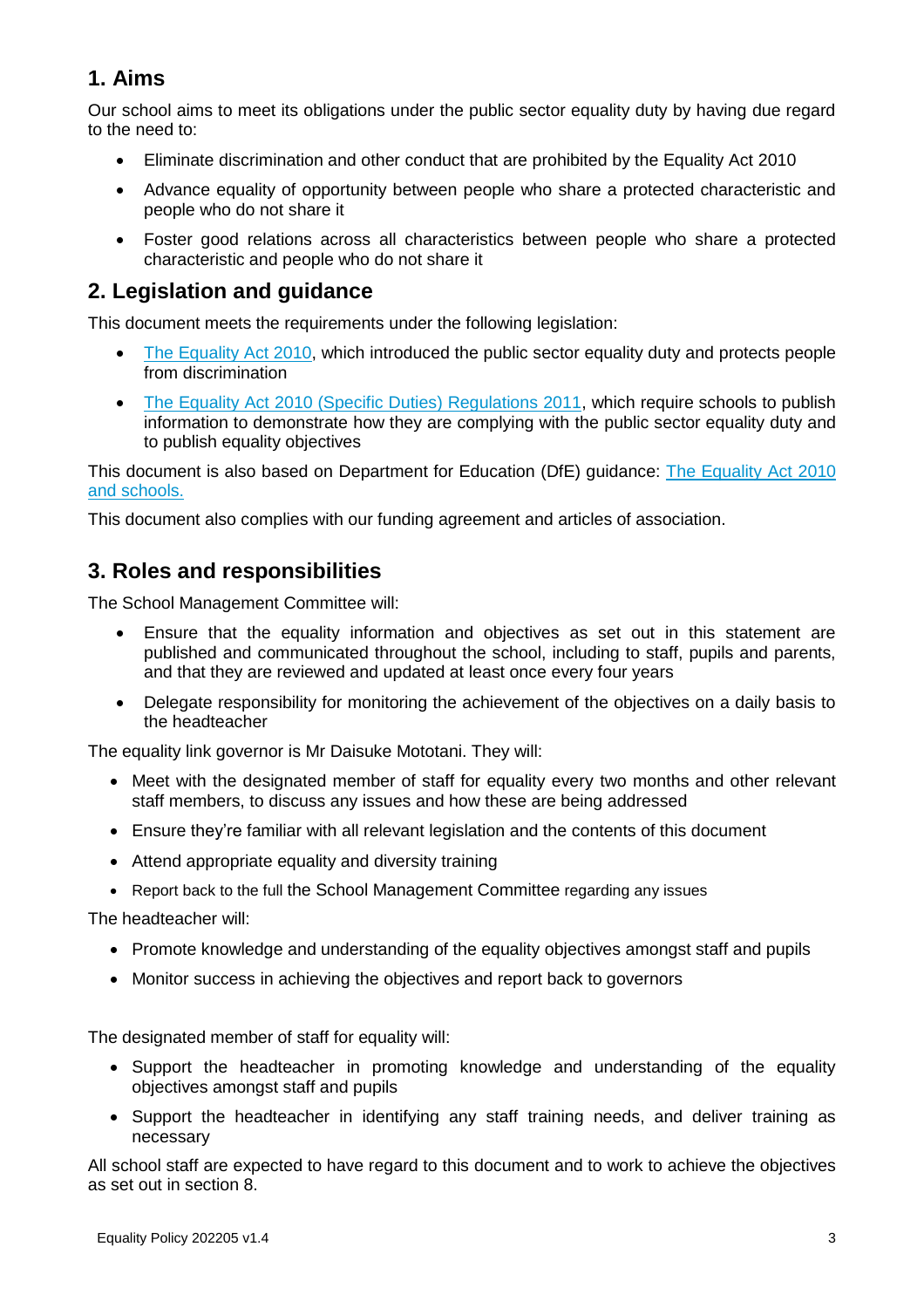## **1. Aims**

Our school aims to meet its obligations under the public sector equality duty by having due regard to the need to:

- Eliminate discrimination and other conduct that are prohibited by the Equality Act 2010
- Advance equality of opportunity between people who share a protected characteristic and people who do not share it
- Foster good relations across all characteristics between people who share a protected characteristic and people who do not share it

#### <span id="page-2-0"></span>**2. Legislation and guidance**

This document meets the requirements under the following legislation:

- [The Equality Act 2010,](http://www.legislation.gov.uk/ukpga/2010/15/contents) which introduced the public sector equality duty and protects people from discrimination
- [The Equality Act 2010 \(Specific Duties\) Regulations 2011,](http://www.legislation.gov.uk/uksi/2011/2260/contents/made) which require schools to publish information to demonstrate how they are complying with the public sector equality duty and to publish equality objectives

This document is also based on Department for Education (DfE) guidance: [The Equality Act 2010](https://www.gov.uk/government/uploads/system/uploads/attachment_data/file/315587/Equality_Act_Advice_Final.pdf)  [and schools.](https://www.gov.uk/government/uploads/system/uploads/attachment_data/file/315587/Equality_Act_Advice_Final.pdf) 

This document also complies with our funding agreement and articles of association.

#### <span id="page-2-1"></span>**3. Roles and responsibilities**

The School Management Committee will:

- Ensure that the equality information and objectives as set out in this statement are published and communicated throughout the school, including to staff, pupils and parents, and that they are reviewed and updated at least once every four years
- Delegate responsibility for monitoring the achievement of the objectives on a daily basis to the headteacher

The equality link governor is Mr Daisuke Mototani. They will:

- Meet with the designated member of staff for equality every two months and other relevant staff members, to discuss any issues and how these are being addressed
- Ensure they're familiar with all relevant legislation and the contents of this document
- Attend appropriate equality and diversity training
- Report back to the full the School Management Committee regarding any issues

The headteacher will:

- Promote knowledge and understanding of the equality objectives amongst staff and pupils
- Monitor success in achieving the objectives and report back to governors

The designated member of staff for equality will:

- Support the headteacher in promoting knowledge and understanding of the equality objectives amongst staff and pupils
- Support the headteacher in identifying any staff training needs, and deliver training as necessary

All school staff are expected to have regard to this document and to work to achieve the objectives as set out in section 8.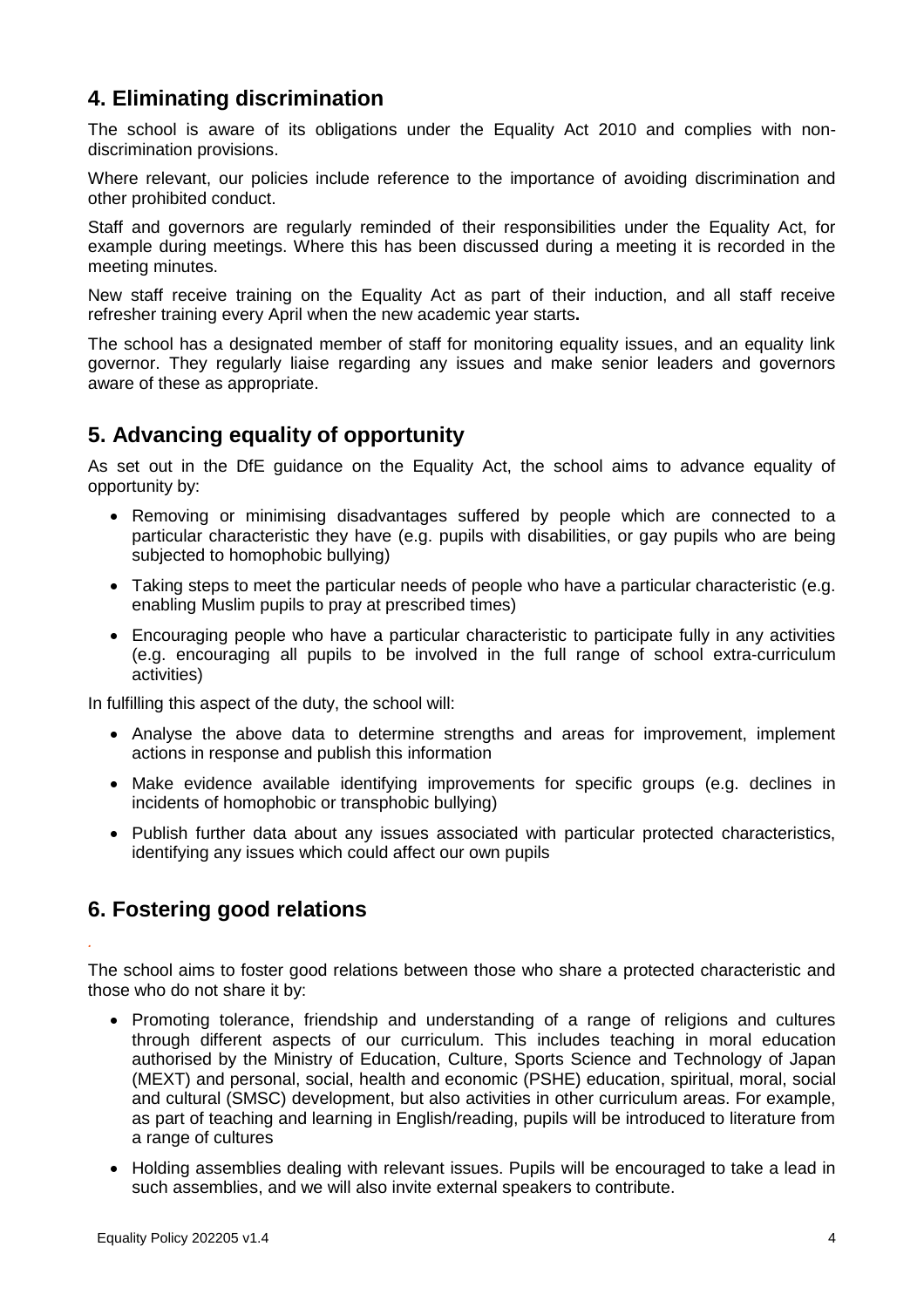#### <span id="page-3-0"></span>**4. Eliminating discrimination**

The school is aware of its obligations under the Equality Act 2010 and complies with nondiscrimination provisions.

Where relevant, our policies include reference to the importance of avoiding discrimination and other prohibited conduct.

Staff and governors are regularly reminded of their responsibilities under the Equality Act, for example during meetings. Where this has been discussed during a meeting it is recorded in the meeting minutes.

New staff receive training on the Equality Act as part of their induction, and all staff receive refresher training every April when the new academic year starts**.** 

The school has a designated member of staff for monitoring equality issues, and an equality link governor. They regularly liaise regarding any issues and make senior leaders and governors aware of these as appropriate.

#### <span id="page-3-1"></span>**5. Advancing equality of opportunity**

As set out in the DfE guidance on the Equality Act, the school aims to advance equality of opportunity by:

- Removing or minimising disadvantages suffered by people which are connected to a particular characteristic they have (e.g. pupils with disabilities, or gay pupils who are being subjected to homophobic bullying)
- Taking steps to meet the particular needs of people who have a particular characteristic (e.g. enabling Muslim pupils to pray at prescribed times)
- Encouraging people who have a particular characteristic to participate fully in any activities (e.g. encouraging all pupils to be involved in the full range of school extra-curriculum activities)

In fulfilling this aspect of the duty, the school will:

- Analyse the above data to determine strengths and areas for improvement, implement actions in response and publish this information
- Make evidence available identifying improvements for specific groups (e.g. declines in incidents of homophobic or transphobic bullying)
- Publish further data about any issues associated with particular protected characteristics, identifying any issues which could affect our own pupils

#### <span id="page-3-2"></span>**6. Fostering good relations**

*.* 

The school aims to foster good relations between those who share a protected characteristic and those who do not share it by:

- Promoting tolerance, friendship and understanding of a range of religions and cultures through different aspects of our curriculum. This includes teaching in moral education authorised by the Ministry of Education, Culture, Sports Science and Technology of Japan (MEXT) and personal, social, health and economic (PSHE) education, spiritual, moral, social and cultural (SMSC) development, but also activities in other curriculum areas. For example, as part of teaching and learning in English/reading, pupils will be introduced to literature from a range of cultures
- Holding assemblies dealing with relevant issues. Pupils will be encouraged to take a lead in such assemblies, and we will also invite external speakers to contribute.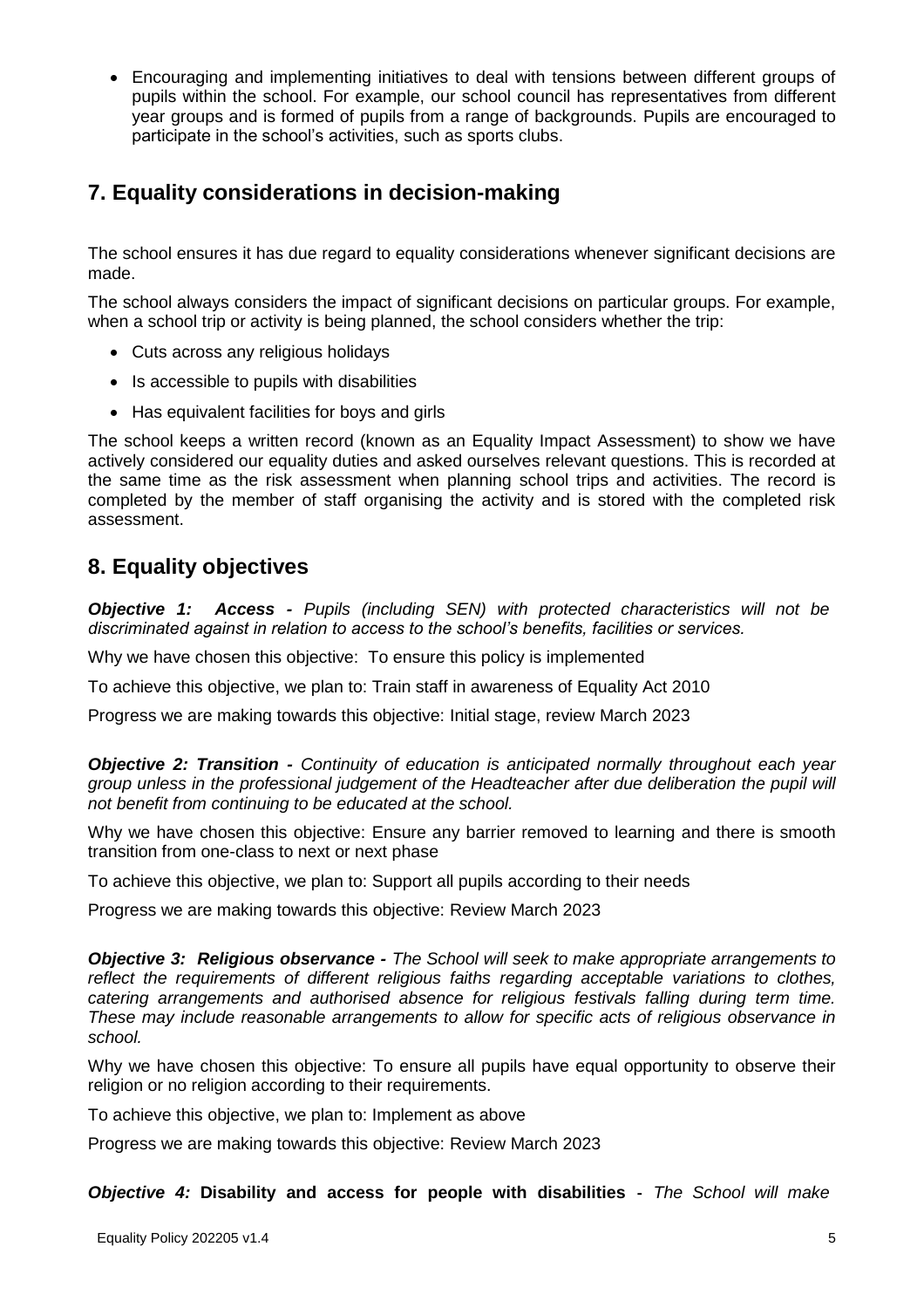Encouraging and implementing initiatives to deal with tensions between different groups of pupils within the school. For example, our school council has representatives from different year groups and is formed of pupils from a range of backgrounds. Pupils are encouraged to participate in the school's activities, such as sports clubs.

### <span id="page-4-0"></span>**7. Equality considerations in decision-making**

The school ensures it has due regard to equality considerations whenever significant decisions are made.

The school always considers the impact of significant decisions on particular groups. For example, when a school trip or activity is being planned, the school considers whether the trip:

- Cuts across any religious holidays
- Is accessible to pupils with disabilities
- Has equivalent facilities for boys and girls

The school keeps a written record (known as an Equality Impact Assessment) to show we have actively considered our equality duties and asked ourselves relevant questions. This is recorded at the same time as the risk assessment when planning school trips and activities. The record is completed by the member of staff organising the activity and is stored with the completed risk assessment.

#### <span id="page-4-1"></span>**8. Equality objectives**

*Objective 1: Access - Pupils (including SEN) with protected characteristics will not be discriminated against in relation to access to the school's benefits, facilities or services.*

Why we have chosen this objective: To ensure this policy is implemented

To achieve this objective, we plan to: Train staff in awareness of Equality Act 2010

Progress we are making towards this objective: Initial stage, review March 2023

*Objective 2: Transition - Continuity of education is anticipated normally throughout each year group unless in the professional judgement of the Headteacher after due deliberation the pupil will not benefit from continuing to be educated at the school.*

Why we have chosen this objective: Ensure any barrier removed to learning and there is smooth transition from one-class to next or next phase

To achieve this objective, we plan to: Support all pupils according to their needs

Progress we are making towards this objective: Review March 2023

*Objective 3: Religious observance - The School will seek to make appropriate arrangements to reflect the requirements of different religious faiths regarding acceptable variations to clothes, catering arrangements and authorised absence for religious festivals falling during term time. These may include reasonable arrangements to allow for specific acts of religious observance in school.*

Why we have chosen this objective: To ensure all pupils have equal opportunity to observe their religion or no religion according to their requirements.

To achieve this objective, we plan to: Implement as above

Progress we are making towards this objective: Review March 2023

*Objective 4:* **Disability and access for people with disabilities -** *The School will make*